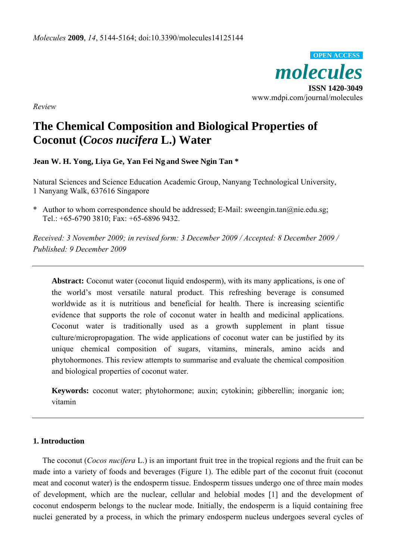

*Review* 

# **The Chemical Composition and Biological Properties of Coconut (***Cocos nucifera* **L.) Water**

**Jean W. H. Yong, Liya Ge, Yan Fei Ng and Swee Ngin Tan \*** 

Natural Sciences and Science Education Academic Group, Nanyang Technological University, 1 Nanyang Walk, 637616 Singapore

\* Author to whom correspondence should be addressed; E-Mail: sweengin.tan@nie.edu.sg; Tel.: +65-6790 3810; Fax: +65-6896 9432.

*Received: 3 November 2009; in revised form: 3 December 2009 / Accepted: 8 December 2009 / Published: 9 December 2009* 

Abstract: Coconut water (coconut liquid endosperm), with its many applications, is one of the world's most versatile natural product. This refreshing beverage is consumed worldwide as it is nutritious and beneficial for health. There is increasing scientific evidence that supports the role of coconut water in health and medicinal applications. Coconut water is traditionally used as a growth supplement in plant tissue culture/micropropagation. The wide applications of coconut water can be justified by its unique chemical composition of sugars, vitamins, minerals, amino acids and phytohormones. This review attempts to summarise and evaluate the chemical composition and biological properties of coconut water.

**Keywords:** coconut water; phytohormone; auxin; cytokinin; gibberellin; inorganic ion; vitamin

## **1. Introduction**

The coconut (*Cocos nucifera* L.) is an important fruit tree in the tropical regions and the fruit can be made into a variety of foods and beverages (Figure 1). The edible part of the coconut fruit (coconut meat and coconut water) is the endosperm tissue. Endosperm tissues undergo one of three main modes of development, which are the nuclear, cellular and helobial modes [1] and the development of coconut endosperm belongs to the nuclear mode. Initially, the endosperm is a liquid containing free nuclei generated by a process, in which the primary endosperm nucleus undergoes several cycles of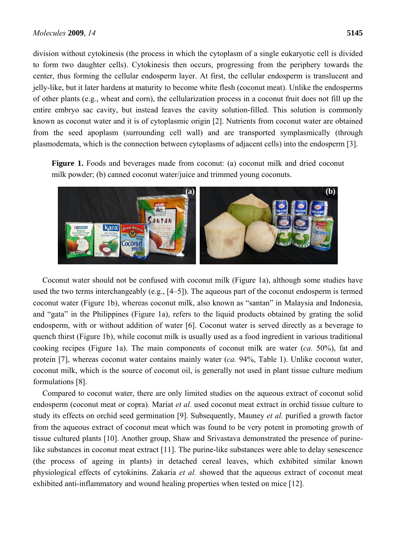division without cytokinesis (the process in which the cytoplasm of a single eukaryotic cell is divided to form two daughter cells). Cytokinesis then occurs, progressing from the periphery towards the center, thus forming the cellular endosperm layer. At first, the cellular endosperm is translucent and jelly-like, but it later hardens at maturity to become white flesh (coconut meat). Unlike the endosperms of other plants (e.g., wheat and corn), the cellularization process in a coconut fruit does not fill up the entire embryo sac cavity, but instead leaves the cavity solution-filled. This solution is commonly known as coconut water and it is of cytoplasmic origin [2]. Nutrients from coconut water are obtained from the seed apoplasm (surrounding cell wall) and are transported symplasmically (through plasmodemata, which is the connection between cytoplasms of adjacent cells) into the endosperm [3].

Figure 1. Foods and beverages made from coconut: (a) coconut milk and dried coconut milk powder; (b) canned coconut water/juice and trimmed young coconuts.



Coconut water should not be confused with coconut milk (Figure 1a), although some studies have used the two terms interchangeably (e.g., [4–5]). The aqueous part of the coconut endosperm is termed coconut water (Figure 1b), whereas coconut milk, also known as "santan" in Malaysia and Indonesia, and "gata" in the Philippines (Figure 1a), refers to the liquid products obtained by grating the solid endosperm, with or without addition of water [6]. Coconut water is served directly as a beverage to quench thirst (Figure 1b), while coconut milk is usually used as a food ingredient in various traditional cooking recipes (Figure 1a). The main components of coconut milk are water (*ca.* 50%), fat and protein [7], whereas coconut water contains mainly water (*ca.* 94%, Table 1). Unlike coconut water, coconut milk, which is the source of coconut oil, is generally not used in plant tissue culture medium formulations [8].

Compared to coconut water, there are only limited studies on the aqueous extract of coconut solid endosperm (coconut meat or copra). Mariat *et al.* used coconut meat extract in orchid tissue culture to study its effects on orchid seed germination [9]. Subsequently, Mauney *et al.* purified a growth factor from the aqueous extract of coconut meat which was found to be very potent in promoting growth of tissue cultured plants [10]. Another group, Shaw and Srivastava demonstrated the presence of purinelike substances in coconut meat extract [11]. The purine-like substances were able to delay senescence (the process of ageing in plants) in detached cereal leaves, which exhibited similar known physiological effects of cytokinins. Zakaria *et al.* showed that the aqueous extract of coconut meat exhibited anti-inflammatory and wound healing properties when tested on mice [12].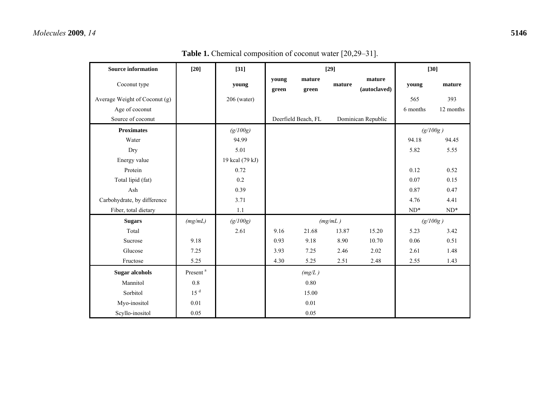| <b>Source information</b>     | $[20]$               | $[31]$          | $[29]$         |                     |         |                        | $[30]$          |                 |
|-------------------------------|----------------------|-----------------|----------------|---------------------|---------|------------------------|-----------------|-----------------|
| Coconut type                  |                      | young           | young<br>green | mature<br>green     | mature  | mature<br>(autoclaved) | young           | mature          |
| Average Weight of Coconut (g) |                      | 206 (water)     |                |                     |         |                        | 565             | 393             |
| Age of coconut                |                      |                 |                |                     |         |                        | 6 months        | 12 months       |
| Source of coconut             |                      |                 |                | Deerfield Beach, FL |         | Dominican Republic     |                 |                 |
| <b>Proximates</b>             |                      | (g/100g)        |                |                     |         |                        | (g/100g)        |                 |
| Water                         |                      | 94.99           |                |                     |         |                        | 94.18           | 94.45           |
| Dry                           |                      | 5.01            |                |                     |         |                        | 5.82            | 5.55            |
| Energy value                  |                      | 19 kcal (79 kJ) |                |                     |         |                        |                 |                 |
| Protein                       |                      | 0.72            |                |                     |         |                        | 0.12            | 0.52            |
| Total lipid (fat)             |                      | 0.2             |                |                     |         |                        | 0.07            | 0.15            |
| Ash                           |                      | 0.39            |                |                     |         |                        | 0.87            | 0.47            |
| Carbohydrate, by difference   |                      | 3.71            |                |                     |         |                        | 4.76            | 4.41            |
| Fiber, total dietary          |                      | $1.1\,$         |                |                     |         |                        | $\mathrm{ND}^*$ | $\mathrm{ND}^*$ |
| <b>Sugars</b>                 | (mg/mL)              | (g/100g)        |                |                     | (mg/mL) |                        | (g/100g)        |                 |
| Total                         |                      | 2.61            | 9.16           | 21.68               | 13.87   | 15.20                  | 5.23            | 3.42            |
| Sucrose                       | 9.18                 |                 | 0.93           | 9.18                | 8.90    | 10.70                  | 0.06            | 0.51            |
| Glucose                       | 7.25                 |                 | 3.93           | 7.25                | 2.46    | 2.02                   | 2.61            | 1.48            |
| Fructose                      | 5.25                 |                 | 4.30           | 5.25                | 2.51    | 2.48                   | 2.55            | 1.43            |
| <b>Sugar alcohols</b>         | Present <sup>a</sup> |                 |                | (mg/L)              |         |                        |                 |                 |
| Mannitol                      | $0.8\,$              |                 |                | 0.80                |         |                        |                 |                 |
| Sorbitol                      | 15 <sup>d</sup>      |                 |                | 15.00               |         |                        |                 |                 |
| Myo-inositol                  | 0.01                 |                 |                | 0.01                |         |                        |                 |                 |
| Scyllo-inositol               | 0.05                 |                 |                | 0.05                |         |                        |                 |                 |

Table 1. Chemical composition of coconut water [20,29-31].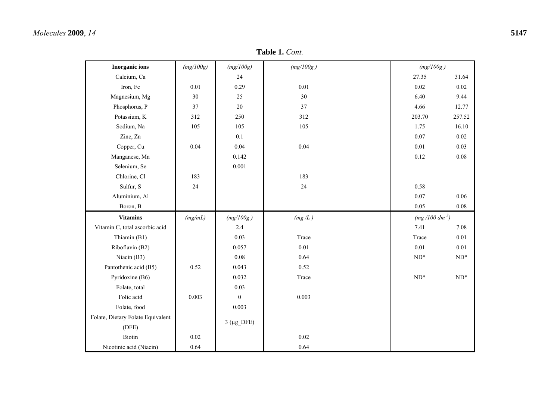## *Molecules* **2009**, *14* **5147**

| <b>Inorganic</b> ions             | (mg/100g) | (mg/100g)      | (mg/100g) | (mg/100g)       |                 |
|-----------------------------------|-----------|----------------|-----------|-----------------|-----------------|
| Calcium, Ca                       |           | 24             |           | 27.35           | 31.64           |
| Iron, Fe                          | 0.01      | 0.29           | 0.01      | 0.02            | 0.02            |
| Magnesium, Mg                     | 30        | 25             | 30        | 6.40            | 9.44            |
| Phosphorus, P                     | 37        | 20             | 37        | 4.66            | 12.77           |
| Potassium, K                      | 312       | 250            | 312       | 203.70          | 257.52          |
| Sodium, Na                        | 105       | 105            | 105       | 1.75            | 16.10           |
| Zinc, Zn                          |           | 0.1            |           | 0.07            | 0.02            |
| Copper, Cu                        | 0.04      | 0.04           | 0.04      | 0.01            | 0.03            |
| Manganese, Mn                     |           | 0.142          |           | 0.12            | 0.08            |
| Selenium, Se                      |           | 0.001          |           |                 |                 |
| Chlorine, Cl                      | 183       |                | 183       |                 |                 |
| Sulfur, S                         | 24        |                | 24        | 0.58            |                 |
| Aluminium, Al                     |           |                |           | 0.07            | 0.06            |
| Boron, B                          |           |                |           | 0.05            | 0.08            |
| <b>Vitamins</b>                   | (mg/mL)   | (mg/100g)      | (mg/L)    | $(mg/100 dm^3)$ |                 |
| Vitamin C, total ascorbic acid    |           | 2.4            |           | 7.41            | 7.08            |
| Thiamin (B1)                      |           | 0.03           | Trace     | Trace           | $0.01\,$        |
| Riboflavin (B2)                   |           | 0.057          | $0.01\,$  | $0.01\,$        | $0.01\,$        |
| Niacin (B3)                       |           | 0.08           | 0.64      | $\mathrm{ND}^*$ | $\mathrm{ND}^*$ |
| Pantothenic acid (B5)             | 0.52      | 0.043          | 0.52      |                 |                 |
| Pyridoxine (B6)                   |           | 0.032          | Trace     | $\mathrm{ND}^*$ | $ND^*$          |
| Folate, total                     |           | 0.03           |           |                 |                 |
| Folic acid                        | 0.003     | $\mathbf{0}$   | 0.003     |                 |                 |
| Folate, food                      |           | 0.003          |           |                 |                 |
| Folate, Dietary Folate Equivalent |           | $3(\mu g_DFE)$ |           |                 |                 |
| (DFE)                             |           |                |           |                 |                 |
| Biotin                            | $0.02\,$  |                | 0.02      |                 |                 |
| Nicotinic acid (Niacin)           | 0.64      |                | 0.64      |                 |                 |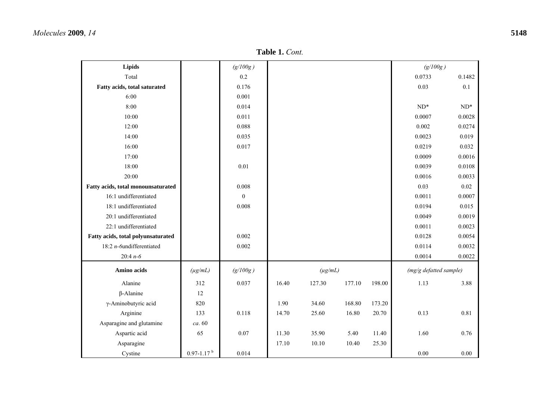| Lipids                             |                            | (g/100g)       |       |              |        |        | (g/100g)               |        |
|------------------------------------|----------------------------|----------------|-------|--------------|--------|--------|------------------------|--------|
| Total                              |                            | 0.2            |       |              |        |        | 0.0733                 | 0.1482 |
| Fatty acids, total saturated       |                            | 0.176          |       |              |        |        | 0.03                   | 0.1    |
| 6:00                               |                            | 0.001          |       |              |        |        |                        |        |
| 8:00                               |                            | 0.014          |       |              |        |        | $ND^*$                 | $ND^*$ |
| 10:00                              |                            | 0.011          |       |              |        |        | 0.0007                 | 0.0028 |
| 12:00                              |                            | 0.088          |       |              |        |        | 0.002                  | 0.0274 |
| 14:00                              |                            | 0.035          |       |              |        |        | 0.0023                 | 0.019  |
| 16:00                              |                            | 0.017          |       |              |        |        | 0.0219                 | 0.032  |
| 17:00                              |                            |                |       |              |        |        | 0.0009                 | 0.0016 |
| 18:00                              |                            | 0.01           |       |              |        |        | 0.0039                 | 0.0108 |
| 20:00                              |                            |                |       |              |        |        | 0.0016                 | 0.0033 |
| Fatty acids, total monounsaturated |                            | 0.008          |       |              |        |        | 0.03                   | 0.02   |
| 16:1 undifferentiated              |                            | $\overline{0}$ |       |              |        |        | 0.0011                 | 0.0007 |
| 18:1 undifferentiated              |                            | 0.008          |       |              |        |        | 0.0194                 | 0.015  |
| 20:1 undifferentiated              |                            |                |       |              |        |        | 0.0049                 | 0.0019 |
| 22:1 undifferentiated              |                            |                |       |              |        |        | 0.0011                 | 0.0023 |
| Fatty acids, total polyunsaturated |                            | 0.002          |       |              |        |        | 0.0128                 | 0.0054 |
| 18:2 $n$ -6undifferentiated        |                            | 0.002          |       |              |        |        | 0.0114                 | 0.0032 |
| 20:4 $n - 6$                       |                            |                |       |              |        |        | 0.0014                 | 0.0022 |
| Amino acids                        | $(\mu g/mL)$               | (g/100g)       |       | $(\mu g/mL)$ |        |        | (mg/g defatted sample) |        |
| Alanine                            | 312                        | 0.037          | 16.40 | 127.30       | 177.10 | 198.00 | 1.13                   | 3.88   |
| $\beta$ -Alanine                   | 12                         |                |       |              |        |        |                        |        |
| γ-Aminobutyric acid                | 820                        |                | 1.90  | 34.60        | 168.80 | 173.20 |                        |        |
| Arginine                           | 133                        | 0.118          | 14.70 | 25.60        | 16.80  | 20.70  | 0.13                   | 0.81   |
| Asparagine and glutamine           | ca. 60                     |                |       |              |        |        |                        |        |
| Aspartic acid                      | 65                         | 0.07           | 11.30 | 35.90        | 5.40   | 11.40  | 1.60                   | 0.76   |
| Asparagine                         |                            |                | 17.10 | 10.10        | 10.40  | 25.30  |                        |        |
| Cystine                            | $0.97 - 1.17$ <sup>b</sup> | 0.014          |       |              |        |        | $0.00\,$               | 0.00   |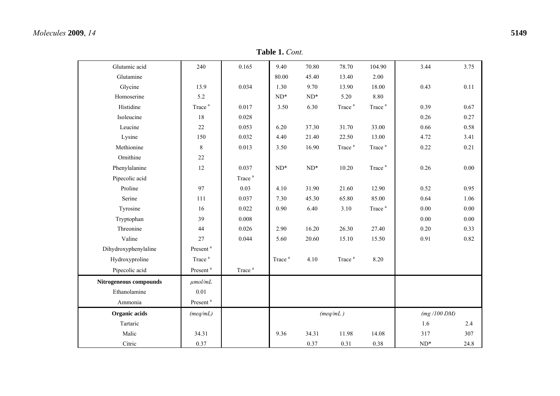| Glutamic acid          | 240                  | 0.165              | 9.40               | 70.80           | 78.70              | 104.90             | 3.44            | 3.75 |
|------------------------|----------------------|--------------------|--------------------|-----------------|--------------------|--------------------|-----------------|------|
| Glutamine              |                      |                    | 80.00              | 45.40           | 13.40              | 2.00               |                 |      |
| Glycine                | 13.9                 | 0.034              | 1.30               | 9.70            | 13.90              | 18.00              | 0.43            | 0.11 |
| Homoserine             | 5.2                  |                    | $ND^*$             | $ND^*$          | 5.20               | 8.80               |                 |      |
| Histidine              | Trace <sup>a</sup>   | 0.017              | 3.50               | 6.30            | Trace <sup>a</sup> | Trace <sup>a</sup> | 0.39            | 0.67 |
| Isoleucine             | 18                   | 0.028              |                    |                 |                    |                    | 0.26            | 0.27 |
| Leucine                | 22                   | 0.053              | 6.20               | 37.30           | 31.70              | 33.00              | 0.66            | 0.58 |
| Lysine                 | 150                  | 0.032              | 4.40               | 21.40           | 22.50              | 13.00              | 4.72            | 3.41 |
| Methionine             | 8                    | 0.013              | 3.50               | 16.90           | Trace <sup>a</sup> | Trace <sup>a</sup> | 0.22            | 0.21 |
| Ornithine              | 22                   |                    |                    |                 |                    |                    |                 |      |
| Phenylalanine          | 12                   | 0.037              | $\mathrm{ND}^*$    | $\mathrm{ND}^*$ | 10.20              | Trace <sup>a</sup> | 0.26            | 0.00 |
| Pipecolic acid         |                      | Trace <sup>a</sup> |                    |                 |                    |                    |                 |      |
| Proline                | 97                   | 0.03               | 4.10               | 31.90           | 21.60              | 12.90              | 0.52            | 0.95 |
| Serine                 | 111                  | 0.037              | 7.30               | 45.30           | 65.80              | 85.00              | 0.64            | 1.06 |
| Tyrosine               | 16                   | 0.022              | 0.90               | 6.40            | 3.10               | Trace <sup>a</sup> | 0.00            | 0.00 |
| Tryptophan             | 39                   | 0.008              |                    |                 |                    |                    | 0.00            | 0.00 |
| Threonine              | 44                   | 0.026              | 2.90               | 16.20           | 26.30              | 27.40              | $0.20\,$        | 0.33 |
| Valine                 | 27                   | 0.044              | 5.60               | 20.60           | 15.10              | 15.50              | 0.91            | 0.82 |
| Dihydroxyphenylaline   | Present <sup>a</sup> |                    |                    |                 |                    |                    |                 |      |
| Hydroxyproline         | Trace <sup>a</sup>   |                    | Trace <sup>a</sup> | 4.10            | Trace <sup>a</sup> | 8.20               |                 |      |
| Pipecolic acid         | Present <sup>a</sup> | Trace <sup>a</sup> |                    |                 |                    |                    |                 |      |
| Nitrogeneous compounds | $\mu$ mol/mL         |                    |                    |                 |                    |                    |                 |      |
| Ethanolamine           | 0.01                 |                    |                    |                 |                    |                    |                 |      |
| Ammonia                | Present <sup>a</sup> |                    |                    |                 |                    |                    |                 |      |
| Organic acids          | (meq/mL)             |                    |                    |                 | (meq/mL)           |                    | (mg/100 DM)     |      |
| Tartaric               |                      |                    |                    |                 |                    |                    | 1.6             | 2.4  |
| Malic                  | 34.31                |                    | 9.36               | 34.31           | 11.98              | 14.08              | 317             | 307  |
| Citric                 | 0.37                 |                    |                    | 0.37            | 0.31               | 0.38               | $\mathrm{ND}^*$ | 24.8 |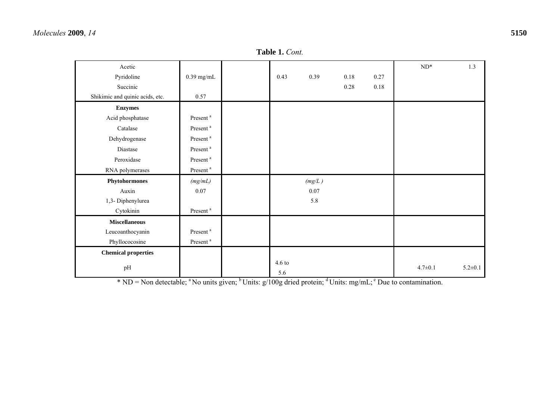#### **Table 1.** *Cont.*

| Acetic                          |                      |                         |        |          |      | $\mathrm{ND}^*$ | 1.3           |
|---------------------------------|----------------------|-------------------------|--------|----------|------|-----------------|---------------|
| Pyridoline                      | $0.39$ mg/mL         | 0.43                    | 0.39   | $0.18\,$ | 0.27 |                 |               |
| Succinic                        |                      |                         |        | $0.28\,$ | 0.18 |                 |               |
| Shikimic and quinic acids, etc. | 0.57                 |                         |        |          |      |                 |               |
| <b>Enzymes</b>                  |                      |                         |        |          |      |                 |               |
| Acid phosphatase                | Present <sup>a</sup> |                         |        |          |      |                 |               |
| Catalase                        | Present <sup>a</sup> |                         |        |          |      |                 |               |
| Dehydrogenase                   | Present <sup>a</sup> |                         |        |          |      |                 |               |
| Diastase                        | Present <sup>a</sup> |                         |        |          |      |                 |               |
| Peroxidase                      | Present <sup>a</sup> |                         |        |          |      |                 |               |
| RNA polymerases                 | Present <sup>a</sup> |                         |        |          |      |                 |               |
| Phytohormones                   | (mg/mL)              |                         | (mg/L) |          |      |                 |               |
| Auxin                           | 0.07                 |                         | 0.07   |          |      |                 |               |
| 1,3- Diphenylurea               |                      |                         | 5.8    |          |      |                 |               |
| Cytokinin                       | Present <sup>a</sup> |                         |        |          |      |                 |               |
| <b>Miscellaneous</b>            |                      |                         |        |          |      |                 |               |
| Leucoanthocyanin                | Present <sup>a</sup> |                         |        |          |      |                 |               |
| Phyllococosine                  | Present <sup>a</sup> |                         |        |          |      |                 |               |
| <b>Chemical properties</b>      |                      |                         |        |          |      |                 |               |
| pH                              |                      | $4.6 \text{ to}$<br>5.6 |        |          |      | $4.7 \pm 0.1$   | $5.2 \pm 0.1$ |

\* ND = Non detectable; <sup>a</sup> No units given; <sup>b</sup> Units: g/100g dried protein; <sup>d</sup> Units: mg/mL; <sup>e</sup> Due to contamination.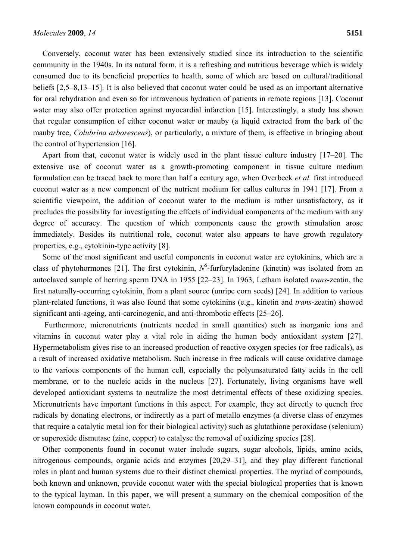Conversely, coconut water has been extensively studied since its introduction to the scientific community in the 1940s. In its natural form, it is a refreshing and nutritious beverage which is widely consumed due to its beneficial properties to health, some of which are based on cultural/traditional beliefs [2,5–8,13–15]. It is also believed that coconut water could be used as an important alternative for oral rehydration and even so for intravenous hydration of patients in remote regions [13]. Coconut water may also offer protection against myocardial infarction [15]. Interestingly, a study has shown that regular consumption of either coconut water or mauby (a liquid extracted from the bark of the mauby tree, *Colubrina arborescens*), or particularly, a mixture of them, is effective in bringing about the control of hypertension [16].

Apart from that, coconut water is widely used in the plant tissue culture industry [17–20]. The extensive use of coconut water as a growth-promoting component in tissue culture medium formulation can be traced back to more than half a century ago, when Overbeek *et al.* first introduced coconut water as a new component of the nutrient medium for callus cultures in 1941 [17]. From a scientific viewpoint, the addition of coconut water to the medium is rather unsatisfactory, as it precludes the possibility for investigating the effects of individual components of the medium with any degree of accuracy. The question of which components cause the growth stimulation arose immediately. Besides its nutritional role, coconut water also appears to have growth regulatory properties, e.g., cytokinin-type activity [8].

Some of the most significant and useful components in coconut water are cytokinins, which are a class of phytohormones [21]. The first cytokinin,  $N^6$ -furfuryladenine (kinetin) was isolated from an autoclaved sample of herring sperm DNA in 1955 [22–23]. In 1963, Letham isolated *trans*-zeatin, the first naturally-occurring cytokinin, from a plant source (unripe corn seeds) [24]. In addition to various plant-related functions, it was also found that some cytokinins (e.g., kinetin and *trans*-zeatin) showed significant anti-ageing, anti-carcinogenic, and anti-thrombotic effects [25–26].

 Furthermore, micronutrients (nutrients needed in small quantities) such as inorganic ions and vitamins in coconut water play a vital role in aiding the human body antioxidant system [27]. Hypermetabolism gives rise to an increased production of reactive oxygen species (or free radicals), as a result of increased oxidative metabolism. Such increase in free radicals will cause oxidative damage to the various components of the human cell, especially the polyunsaturated fatty acids in the cell membrane, or to the nucleic acids in the nucleus [27]. Fortunately, living organisms have well developed antioxidant systems to neutralize the most detrimental effects of these oxidizing species. Micronutrients have important functions in this aspect. For example, they act directly to quench free radicals by donating electrons, or indirectly as a part of metallo enzymes (a diverse class of enzymes that require a catalytic metal ion for their biological activity) such as glutathione peroxidase (selenium) or superoxide dismutase (zinc, copper) to catalyse the removal of oxidizing species [28].

Other components found in coconut water include sugars, sugar alcohols, lipids, amino acids, nitrogenous compounds, organic acids and enzymes [20,29–31], and they play different functional roles in plant and human systems due to their distinct chemical properties. The myriad of compounds, both known and unknown, provide coconut water with the special biological properties that is known to the typical layman. In this paper, we will present a summary on the chemical composition of the known compounds in coconut water.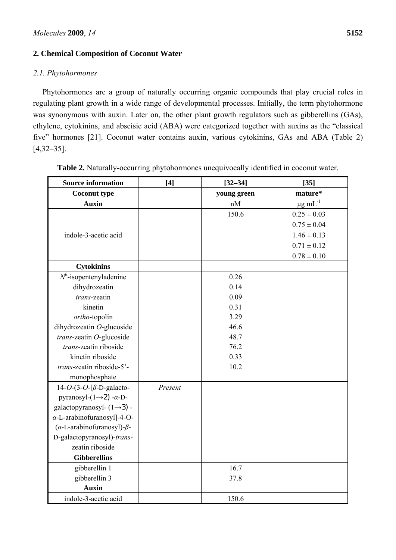## **2. Chemical Composition of Coconut Water**

### *2.1. Phytohormones*

Phytohormones are a group of naturally occurring organic compounds that play crucial roles in regulating plant growth in a wide range of developmental processes. Initially, the term phytohormone was synonymous with auxin. Later on, the other plant growth regulators such as gibberellins (GAs), ethylene, cytokinins, and abscisic acid (ABA) were categorized together with auxins as the "classical five" hormones [21]. Coconut water contains auxin, various cytokinins, GAs and ABA (Table 2) [4,32–35].

| <b>Source information</b>                    | [4]     | $[32 - 34]$ | $[35]$                   |  |
|----------------------------------------------|---------|-------------|--------------------------|--|
| <b>Coconut type</b>                          |         | young green | mature*                  |  |
| <b>Auxin</b>                                 |         | nM          | $\mu$ g mL <sup>-1</sup> |  |
|                                              |         | 150.6       | $0.25 \pm 0.03$          |  |
|                                              |         |             | $0.75 \pm 0.04$          |  |
| indole-3-acetic acid                         |         |             | $1.46 \pm 0.13$          |  |
|                                              |         |             | $0.71 \pm 0.12$          |  |
|                                              |         |             | $0.78 \pm 0.10$          |  |
| <b>Cytokinins</b>                            |         |             |                          |  |
| $N^6$ -isopentenyladenine                    |         | 0.26        |                          |  |
| dihydrozeatin                                |         | 0.14        |                          |  |
| trans-zeatin                                 |         | 0.09        |                          |  |
| kinetin                                      |         | 0.31        |                          |  |
| ortho-topolin                                |         | 3.29        |                          |  |
| dihydrozeatin O-glucoside                    |         | 46.6        |                          |  |
| trans-zeatin O-glucoside                     |         | 48.7        |                          |  |
| trans-zeatin riboside                        |         | 76.2        |                          |  |
| kinetin riboside                             |         | 0.33        |                          |  |
| trans-zeatin riboside-5'-                    |         | 10.2        |                          |  |
| monophosphate                                |         |             |                          |  |
| $14-O-(3-O-[\beta-D-galacto-$                | Present |             |                          |  |
| pyranosyl- $(1\rightarrow 2)$ - $\alpha$ -D- |         |             |                          |  |
| galactopyranosyl- $(1\rightarrow 3)$ -       |         |             |                          |  |
| $\alpha$ -L-arabinofuranosyl]-4-O-           |         |             |                          |  |
| ( $\alpha$ -L-arabinofuranosyl)- $\beta$ -   |         |             |                          |  |
| D-galactopyranosyl)-trans-                   |         |             |                          |  |
| zeatin riboside                              |         |             |                          |  |
| <b>Gibberellins</b>                          |         |             |                          |  |
| gibberellin 1                                |         | 16.7        |                          |  |
| gibberellin 3                                |         | 37.8        |                          |  |
| <b>Auxin</b>                                 |         |             |                          |  |
| indole-3-acetic acid                         |         | 150.6       |                          |  |

**Table 2.** Naturally-occurring phytohormones unequivocally identified in coconut water.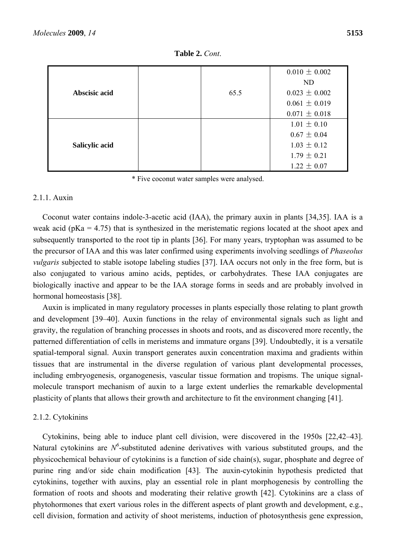|                |      | $0.010 \pm 0.002$ |
|----------------|------|-------------------|
|                |      | ND.               |
| Abscisic acid  | 65.5 | $0.023 \pm 0.002$ |
|                |      | $0.061 \pm 0.019$ |
|                |      | $0.071 \pm 0.018$ |
|                |      | $1.01 \pm 0.10$   |
|                |      | $0.67 \pm 0.04$   |
| Salicylic acid |      | $1.03 \pm 0.12$   |
|                |      | $1.79 \pm 0.21$   |
|                |      | $1.22 \pm 0.07$   |

**Table 2.** *Cont*.

\* Five coconut water samples were analysed.

## 2.1.1. Auxin

Coconut water contains indole-3-acetic acid (IAA), the primary auxin in plants [34,35]. IAA is a weak acid ( $pKa = 4.75$ ) that is synthesized in the meristematic regions located at the shoot apex and subsequently transported to the root tip in plants [36]. For many years, tryptophan was assumed to be the precursor of IAA and this was later confirmed using experiments involving seedlings of *Phaseolus vulgaris* subjected to stable isotope labeling studies [37]. IAA occurs not only in the free form, but is also conjugated to various amino acids, peptides, or carbohydrates. These IAA conjugates are biologically inactive and appear to be the IAA storage forms in seeds and are probably involved in hormonal homeostasis [38].

Auxin is implicated in many regulatory processes in plants especially those relating to plant growth and development [39–40]. Auxin functions in the relay of environmental signals such as light and gravity, the regulation of branching processes in shoots and roots, and as discovered more recently, the patterned differentiation of cells in meristems and immature organs [39]. Undoubtedly, it is a versatile spatial-temporal signal. Auxin transport generates auxin concentration maxima and gradients within tissues that are instrumental in the diverse regulation of various plant developmental processes, including embryogenesis, organogenesis, vascular tissue formation and tropisms. The unique signalmolecule transport mechanism of auxin to a large extent underlies the remarkable developmental plasticity of plants that allows their growth and architecture to fit the environment changing [41].

## 2.1.2. Cytokinins

Cytokinins, being able to induce plant cell division, were discovered in the 1950s [22,42–43]. Natural cytokinins are  $N^6$ -substituted adenine derivatives with various substituted groups, and the physicochemical behaviour of cytokinins is a function of side chain(s), sugar, phosphate and degree of purine ring and/or side chain modification [43]. The auxin-cytokinin hypothesis predicted that cytokinins, together with auxins, play an essential role in plant morphogenesis by controlling the formation of roots and shoots and moderating their relative growth [42]. Cytokinins are a class of phytohormones that exert various roles in the different aspects of plant growth and development, e.g., cell division, formation and activity of shoot meristems, induction of photosynthesis gene expression,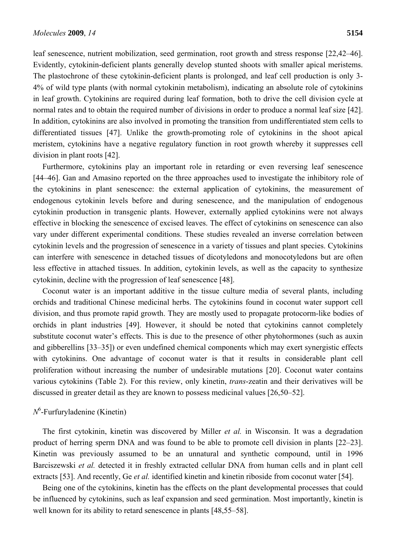leaf senescence, nutrient mobilization, seed germination, root growth and stress response [22,42–46]. Evidently, cytokinin-deficient plants generally develop stunted shoots with smaller apical meristems. The plastochrone of these cytokinin-deficient plants is prolonged, and leaf cell production is only 3- 4% of wild type plants (with normal cytokinin metabolism), indicating an absolute role of cytokinins in leaf growth. Cytokinins are required during leaf formation, both to drive the cell division cycle at normal rates and to obtain the required number of divisions in order to produce a normal leaf size [42]. In addition, cytokinins are also involved in promoting the transition from undifferentiated stem cells to differentiated tissues [47]. Unlike the growth-promoting role of cytokinins in the shoot apical meristem, cytokinins have a negative regulatory function in root growth whereby it suppresses cell division in plant roots [42].

Furthermore, cytokinins play an important role in retarding or even reversing leaf senescence [44–46]. Gan and Amasino reported on the three approaches used to investigate the inhibitory role of the cytokinins in plant senescence: the external application of cytokinins, the measurement of endogenous cytokinin levels before and during senescence, and the manipulation of endogenous cytokinin production in transgenic plants. However, externally applied cytokinins were not always effective in blocking the senescence of excised leaves. The effect of cytokinins on senescence can also vary under different experimental conditions. These studies revealed an inverse correlation between cytokinin levels and the progression of senescence in a variety of tissues and plant species. Cytokinins can interfere with senescence in detached tissues of dicotyledons and monocotyledons but are often less effective in attached tissues. In addition, cytokinin levels, as well as the capacity to synthesize cytokinin, decline with the progression of leaf senescence [48].

Coconut water is an important additive in the tissue culture media of several plants, including orchids and traditional Chinese medicinal herbs. The cytokinins found in coconut water support cell division, and thus promote rapid growth. They are mostly used to propagate protocorm-like bodies of orchids in plant industries [49]. However, it should be noted that cytokinins cannot completely substitute coconut water's effects. This is due to the presence of other phytohormones (such as auxin and gibberellins [33–35]) or even undefined chemical components which may exert synergistic effects with cytokinins. One advantage of coconut water is that it results in considerable plant cell proliferation without increasing the number of undesirable mutations [20]. Coconut water contains various cytokinins (Table 2). For this review, only kinetin, *trans*-zeatin and their derivatives will be discussed in greater detail as they are known to possess medicinal values [26,50–52].

## *N*6 -Furfuryladenine (Kinetin)

The first cytokinin, kinetin was discovered by Miller *et al.* in Wisconsin. It was a degradation product of herring sperm DNA and was found to be able to promote cell division in plants [22–23]. Kinetin was previously assumed to be an unnatural and synthetic compound, until in 1996 Barciszewski *et al.* detected it in freshly extracted cellular DNA from human cells and in plant cell extracts [53]. And recently, Ge *et al.* identified kinetin and kinetin riboside from coconut water [54].

Being one of the cytokinins, kinetin has the effects on the plant developmental processes that could be influenced by cytokinins, such as leaf expansion and seed germination. Most importantly, kinetin is well known for its ability to retard senescence in plants [48,55–58].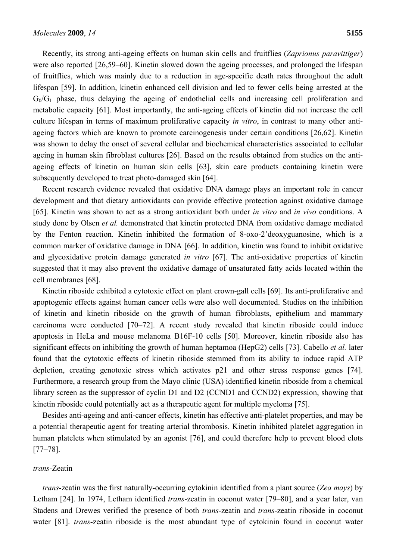Recently, its strong anti-ageing effects on human skin cells and fruitflies (*Zaprionus paravittiger*) were also reported [26,59–60]. Kinetin slowed down the ageing processes, and prolonged the lifespan of fruitflies, which was mainly due to a reduction in age-specific death rates throughout the adult lifespan [59]. In addition, kinetin enhanced cell division and led to fewer cells being arrested at the  $G_0/G_1$  phase, thus delaying the ageing of endothelial cells and increasing cell proliferation and metabolic capacity [61]. Most importantly, the anti-ageing effects of kinetin did not increase the cell culture lifespan in terms of maximum proliferative capacity *in vitro*, in contrast to many other antiageing factors which are known to promote carcinogenesis under certain conditions [26,62]. Kinetin was shown to delay the onset of several cellular and biochemical characteristics associated to cellular ageing in human skin fibroblast cultures [26]. Based on the results obtained from studies on the antiageing effects of kinetin on human skin cells [63], skin care products containing kinetin were subsequently developed to treat photo-damaged skin [64].

Recent research evidence revealed that oxidative DNA damage plays an important role in cancer development and that dietary antioxidants can provide effective protection against oxidative damage [65]. Kinetin was shown to act as a strong antioxidant both under *in vitro* and *in vivo* conditions. A study done by Olsen *et al.* demonstrated that kinetin protected DNA from oxidative damage mediated by the Fenton reaction. Kinetin inhibited the formation of 8-oxo-2'deoxyguanosine, which is a common marker of oxidative damage in DNA [66]. In addition, kinetin was found to inhibit oxidative and glycoxidative protein damage generated *in vitro* [67]. The anti-oxidative properties of kinetin suggested that it may also prevent the oxidative damage of unsaturated fatty acids located within the cell membranes [68].

Kinetin riboside exhibited a cytotoxic effect on plant crown-gall cells [69]. Its anti-proliferative and apoptogenic effects against human cancer cells were also well documented. Studies on the inhibition of kinetin and kinetin riboside on the growth of human fibroblasts, epithelium and mammary carcinoma were conducted [70–72]. A recent study revealed that kinetin riboside could induce apoptosis in HeLa and mouse melanoma B16F-10 cells [50]. Moreover, kinetin riboside also has significant effects on inhibiting the growth of human heptamoa (HepG2) cells [73]. Cabello *et al.* later found that the cytotoxic effects of kinetin riboside stemmed from its ability to induce rapid ATP depletion, creating genotoxic stress which activates p21 and other stress response genes [74]. Furthermore, a research group from the Mayo clinic (USA) identified kinetin riboside from a chemical library screen as the suppressor of cyclin D1 and D2 (CCND1 and CCND2) expression, showing that kinetin riboside could potentially act as a therapeutic agent for multiple myeloma [75].

Besides anti-ageing and anti-cancer effects, kinetin has effective anti-platelet properties, and may be a potential therapeutic agent for treating arterial thrombosis. Kinetin inhibited platelet aggregation in human platelets when stimulated by an agonist [76], and could therefore help to prevent blood clots [77–78].

#### *trans*-Zeatin

*trans*-zeatin was the first naturally-occurring cytokinin identified from a plant source (*Zea mays*) by Letham [24]. In 1974, Letham identified *trans*-zeatin in coconut water [79–80], and a year later, van Stadens and Drewes verified the presence of both *trans*-zeatin and *trans*-zeatin riboside in coconut water [81]. *trans*-zeatin riboside is the most abundant type of cytokinin found in coconut water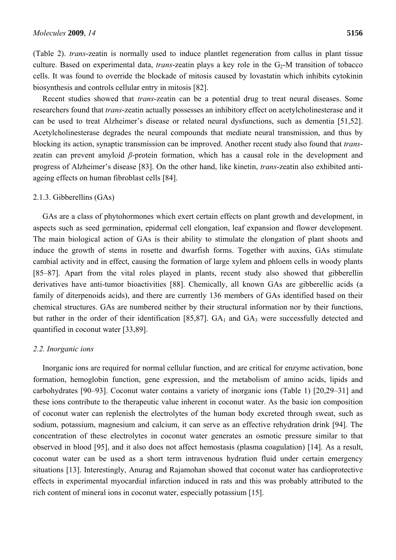(Table 2). *trans*-zeatin is normally used to induce plantlet regeneration from callus in plant tissue culture. Based on experimental data, *trans*-zeatin plays a key role in the  $G_2$ -M transition of tobacco cells. It was found to override the blockade of mitosis caused by lovastatin which inhibits cytokinin biosynthesis and controls cellular entry in mitosis [82].

Recent studies showed that *trans*-zeatin can be a potential drug to treat neural diseases. Some researchers found that *trans*-zeatin actually possesses an inhibitory effect on acetylcholinesterase and it can be used to treat Alzheimer's disease or related neural dysfunctions, such as dementia [51,52]. Acetylcholinesterase degrades the neural compounds that mediate neural transmission, and thus by blocking its action, synaptic transmission can be improved. Another recent study also found that *trans*zeatin can prevent amyloid *β*-protein formation, which has a causal role in the development and progress of Alzheimer's disease [83]. On the other hand, like kinetin, *trans*-zeatin also exhibited antiageing effects on human fibroblast cells [84].

#### 2.1.3. Gibberellins (GAs)

GAs are a class of phytohormones which exert certain effects on plant growth and development, in aspects such as seed germination, epidermal cell elongation, leaf expansion and flower development. The main biological action of GAs is their ability to stimulate the elongation of plant shoots and induce the growth of stems in rosette and dwarfish forms. Together with auxins, GAs stimulate cambial activity and in effect, causing the formation of large xylem and phloem cells in woody plants [85–87]. Apart from the vital roles played in plants, recent study also showed that gibberellin derivatives have anti-tumor bioactivities [88]. Chemically, all known GAs are gibberellic acids (a family of diterpenoids acids), and there are currently 136 members of GAs identified based on their chemical structures. GAs are numbered neither by their structural information nor by their functions, but rather in the order of their identification [85,87].  $GA<sub>1</sub>$  and  $GA<sub>3</sub>$  were successfully detected and quantified in coconut water [33,89].

#### *2.2. Inorganic ions*

Inorganic ions are required for normal cellular function, and are critical for enzyme activation, bone formation, hemoglobin function, gene expression, and the metabolism of amino acids, lipids and carbohydrates [90–93]. Coconut water contains a variety of inorganic ions (Table 1) [20,29–31] and these ions contribute to the therapeutic value inherent in coconut water. As the basic ion composition of coconut water can replenish the electrolytes of the human body excreted through sweat, such as sodium, potassium, magnesium and calcium, it can serve as an effective rehydration drink [94]. The concentration of these electrolytes in coconut water generates an osmotic pressure similar to that observed in blood [95], and it also does not affect hemostasis (plasma coagulation) [14]. As a result, coconut water can be used as a short term intravenous hydration fluid under certain emergency situations [13]. Interestingly, Anurag and Rajamohan showed that coconut water has cardioprotective effects in experimental myocardial infarction induced in rats and this was probably attributed to the rich content of mineral ions in coconut water, especially potassium [15].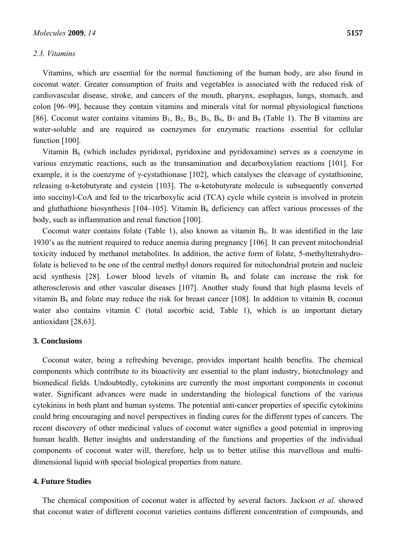#### *2.3. Vitamins*

Vitamins, which are essential for the normal functioning of the human body, are also found in coconut water. Greater consumption of fruits and vegetables is associated with the reduced risk of cardiovascular disease, stroke, and cancers of the mouth, pharynx, esophagus, lungs, stomach, and colon [96–99], because they contain vitamins and minerals vital for normal physiological functions [86]. Coconut water contains vitamins  $B_1$ ,  $B_2$ ,  $B_3$ ,  $B_5$ ,  $B_6$ ,  $B_7$  and  $B_9$  (Table 1). The B vitamins are water-soluble and are required as coenzymes for enzymatic reactions essential for cellular function [100].

Vitamin  $B_6$  (which includes pyridoxal, pyridoxine and pyridoxamine) serves as a coenzyme in various enzymatic reactions, such as the transamination and decarboxylation reactions [101]. For example, it is the coenzyme of γ-cystathionase [102], which catalyses the cleavage of cystathionine, releasing α-ketobutyrate and cystein [103]. The α-ketobutyrate molecule is subsequently converted into succinyl-CoA and fed to the tricarboxylic acid (TCA) cycle while cystein is involved in protein and gluthathione biosynthesis [104–105]. Vitamin  $B_6$  deficiency can affect various processes of the body, such as inflammation and renal function [100].

Coconut water contains folate (Table 1), also known as vitamin B<sub>9</sub>. It was identified in the late 1930's as the nutrient required to reduce anemia during pregnancy [106]. It can prevent mitochondrial toxicity induced by methanol metabolites. In addition, the active form of folate, 5-methyltetrahydrofolate is believed to be one of the central methyl donors required for mitochondrial protein and nucleic acid synthesis [28]. Lower blood levels of vitamin  $B_6$  and folate can increase the risk for atherosclerosis and other vascular diseases [107]. Another study found that high plasma levels of vitamin  $B_6$  and folate may reduce the risk for breast cancer [108]. In addition to vitamin B, coconut water also contains vitamin C (total ascorbic acid, Table 1), which is an important dietary antioxidant [28,63].

#### **3. Conclusions**

Coconut water, being a refreshing beverage, provides important health benefits. The chemical components which contribute to its bioactivity are essential to the plant industry, biotechnology and biomedical fields. Undoubtedly, cytokinins are currently the most important components in coconut water. Significant advances were made in understanding the biological functions of the various cytokinins in both plant and human systems. The potential anti-cancer properties of specific cytokinins could bring encouraging and novel perspectives in finding cures for the different types of cancers. The recent discovery of other medicinal values of coconut water signifies a good potential in improving human health. Better insights and understanding of the functions and properties of the individual components of coconut water will, therefore, help us to better utilise this marvellous and multidimensional liquid with special biological properties from nature.

#### **4. Future Studies**

The chemical composition of coconut water is affected by several factors. Jackson *et al.* showed that coconut water of different coconut varieties contains different concentration of compounds, and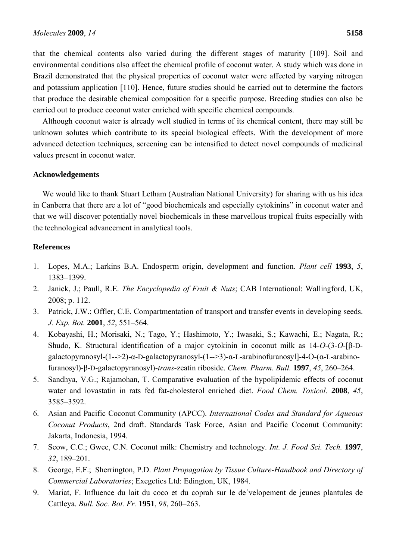that the chemical contents also varied during the different stages of maturity [109]. Soil and environmental conditions also affect the chemical profile of coconut water. A study which was done in Brazil demonstrated that the physical properties of coconut water were affected by varying nitrogen and potassium application [110]. Hence, future studies should be carried out to determine the factors that produce the desirable chemical composition for a specific purpose. Breeding studies can also be carried out to produce coconut water enriched with specific chemical compounds.

Although coconut water is already well studied in terms of its chemical content, there may still be unknown solutes which contribute to its special biological effects. With the development of more advanced detection techniques, screening can be intensified to detect novel compounds of medicinal values present in coconut water.

#### **Acknowledgements**

We would like to thank Stuart Letham (Australian National University) for sharing with us his idea in Canberra that there are a lot of "good biochemicals and especially cytokinins" in coconut water and that we will discover potentially novel biochemicals in these marvellous tropical fruits especially with the technological advancement in analytical tools.

#### **References**

- 1. Lopes, M.A.; Larkins B.A. Endosperm origin, development and function. *Plant cell* **1993**, *5*, 1383–1399.
- 2. Janick, J.; Paull, R.E. *The Encyclopedia of Fruit & Nuts*; CAB International: Wallingford, UK, 2008; p. 112.
- 3. Patrick, J.W.; Offler, C.E. Compartmentation of transport and transfer events in developing seeds. *J. Exp. Bot.* **2001**, *52*, 551–564.
- 4. Kobayashi, H.; Morisaki, N.; Tago, Y.; Hashimoto, Y.; Iwasaki, S.; Kawachi, E.; Nagata, R.; Shudo, K. Structural identification of a major cytokinin in coconut milk as 14-*O*-(3-*O*-[β-Dgalactopyranosyl-(1-->2)-α-D-galactopyranosyl-(1-->3)-α-L-arabinofuranosyl]-4-O-(α-L-arabinofuranosyl)-β-D-galactopyranosyl)-*trans*-zeatin riboside. *Chem. Pharm. Bull.* **1997**, *45*, 260–264.
- 5. Sandhya, V.G.; Rajamohan, T. Comparative evaluation of the hypolipidemic effects of coconut water and lovastatin in rats fed fat-cholesterol enriched diet. *Food Chem. Toxicol.* **2008**, *45*, 3585–3592.
- 6. Asian and Pacific Coconut Community (APCC). *International Codes and Standard for Aqueous Coconut Products*, 2nd draft. Standards Task Force, Asian and Pacific Coconut Community: Jakarta, Indonesia, 1994.
- 7. Seow, C.C.; Gwee, C.N. Coconut milk: Chemistry and technology. *Int. J. Food Sci. Tech.* **1997**, *32*, 189–201.
- 8. George, E.F.; Sherrington, P.D. *Plant Propagation by Tissue Culture-Handbook and Directory of Commercial Laboratories*; Exegetics Ltd: Edington, UK, 1984.
- 9. Mariat, F. Influence du lait du coco et du coprah sur le de´velopement de jeunes plantules de Cattleya. *Bull. Soc. Bot. Fr.* **1951**, *98*, 260–263.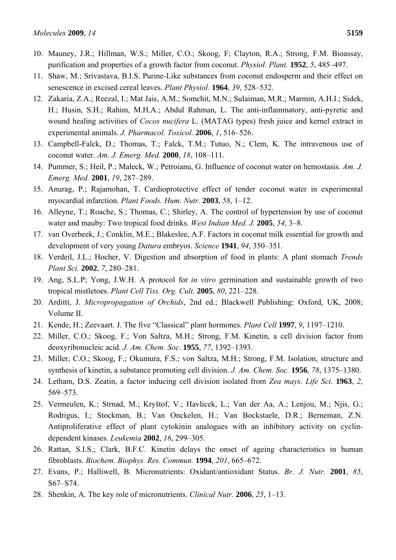- 10. Mauney, J.R.; Hillman, W.S.; Miller, C.O.; Skoog, F; Clayton, R.A.; Strong, F.M. Bioassay, purification and properties of a growth factor from coconut. *Physiol. Plant.* **1952**, *5*, 485–497.
- 11. Shaw, M.; Srivastava, B.I.S. Purine-Like substances from coconut endosperm and their effect on senescence in excised cereal leaves. *Plant Physiol.* **1964**, *39*, 528–532.
- 12. Zakaria, Z.A.; Reezal, I.; Mat Jais, A.M.; Somchit, M.N.; Sulaiman, M.R.; Marmin, A.H.I.; Sidek, H.; Husin, S.H.; Rahim, M.H.A.; Abdul Rahman, L. The anti-inflammatory, anti-pyretic and wound healing activities of *Cocos nucifera* L. (MATAG types) fresh juice and kernel extract in experimental animals. *J. Pharmacol. Toxicol.* **2006**, *1*, 516–526.
- 13. Campbell-Falck, D.; Thomas, T.; Falck, T.M.; Tutuo, N.; Clem, K. The intravenous use of coconut water. *Am. J. Emerg. Med.* **2000**, *18*, 108–111.
- 14. Pummer, S.; Heil, P.; Maleck, W.; Petroianu, G. Influence of coconut water on hemostasis. *Am. J. Emerg. Med.* **2001**, *19*, 287–289.
- 15. Anurag, P.; Rajamohan, T. Cardioprotective effect of tender coconut water in experimental myocardial infarction. *Plant Foods. Hum. Nutr.* **2003**, *58*, 1–12.
- 16. Alleyne, T.; Roache, S.; Thomas, C.; Shirley, A. The control of hypertension by use of coconut water and mauby: Two tropical food drinks. *West Indian Med. J.* **2005**, *54*, 3–8.
- 17. van Overbeek, J.; Conklin, M.E.; Blakeslee, A.F. Factors in coconut milk essential for growth and development of very young *Datura* embryos. *Science* **1941**, *94*, 350–351.
- 18. Verdeil, J.L.; Hocher, V. Digestion and absorption of food in plants: A plant stomach *Trends Plant Sci.* **2002**, *7*, 280–281.
- 19. Ang, S.L.P; Yong, J.W.H. A protocol for *in vitro* germination and sustainable growth of two tropical mistletoes. *Plant Cell Tiss. Org. Cult.* **2005**, *80*, 221–228.
- 20. Arditti, J. *Micropropagation of Orchids*, 2nd ed.; Blackwell Publishing: Oxford, UK, 2008; Volume II.
- 21. Kende, H.; Zeevaart. J. The five "Classical" plant hormones. *Plant Cell* **1997**, *9*, 1197–1210.
- 22. Miller, C.O.; Skoog, F.; Von Saltza, M.H.; Strong, F.M. Kinetin, a cell division factor from deoxyribonucleic acid. *J. Am. Chem. Soc*. **1955**, *77*, 1392–1393.
- 23. Miller, C.O.; Skoog, F.; Okumura, F.S.; von Saltza, M.H.; Strong, F.M. Isolation, structure and synthesis of kinetin, a substance promoting cell division. *J. Am. Chem. Soc.* **1956**, *78*, 1375–1380.
- 24. Letham, D.S. Zeatin, a factor inducing cell division isolated from *Zea mays*. *Life Sci*. **1963**, *2*, 569–573.
- 25. Vermeulen, K.; Strnad, M.; Kryštof, V.; Havlicek, L.; Van der Aa, A.; Lenjou, M.; Njis, G.; Rodrigus, I.; Stockman, B.; Van Onckelen, H.; Van Bockstaele, D.R.; Berneman, Z.N. Antiproliferative effect of plant cytokinin analogues with an inhibitory activity on cyclindependent kinases. *Leukemia* **2002**, *16*, 299–305.
- 26. Rattan, S.I.S.; Clark, B.F.C. Kinetin delays the onset of ageing characteristics in human fibroblasts. *Biochem. Biophys. Res. Commun.* **1994**, *201*, 665–672.
- 27. Evans, P.; Halliwell, B. Micronutrients: Oxidant/antioxidant Status. *Br. J. Nutr.* **2001**, *85*, S67–S74.
- 28. Shenkin, A. The key role of micronutrients. *Clinical Nutr.* **2006**, *25*, 1–13.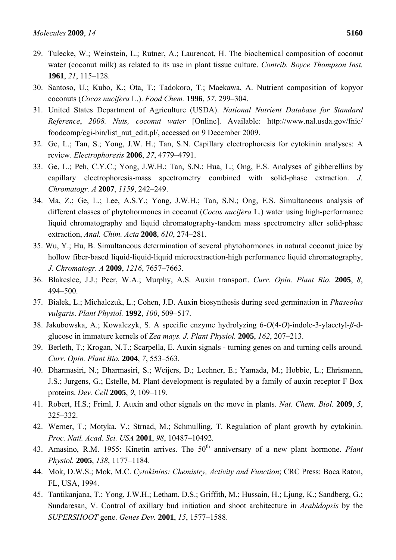- 29. Tulecke, W.; Weinstein, L.; Rutner, A.; Laurencot, H. The biochemical composition of coconut water (coconut milk) as related to its use in plant tissue culture. *Contrib. Boyce Thompson Inst.* **1961**, *21*, 115–128.
- 30. Santoso, U.; Kubo, K.; Ota, T.; Tadokoro, T.; Maekawa, A. Nutrient composition of kopyor coconuts (*Cocos nucifera* L.). *Food Chem.* **1996**, *57*, 299–304.
- 31. United States Department of Agriculture (USDA). *National Nutrient Database for Standard Reference*, *2008. Nuts, coconut water* [Online]. Available: http://www.nal.usda.gov/fnic/ foodcomp/cgi-bin/list\_nut\_edit.pl/, accessed on 9 December 2009.
- 32. Ge, L.; Tan, S.; Yong, J.W. H.; Tan, S.N. Capillary electrophoresis for cytokinin analyses: A review. *Electrophoresis* **2006**, *27*, 4779–4791.
- 33. Ge, L.; Peh, C.Y.C.; Yong, J.W.H.; Tan, S.N.; Hua, L.; Ong, E.S. Analyses of gibberellins by capillary electrophoresis-mass spectrometry combined with solid-phase extraction. *J. Chromatogr. A* **2007**, *1159*, 242–249.
- 34. Ma, Z.; Ge, L.; Lee, A.S.Y.; Yong, J.W.H.; Tan, S.N.; Ong, E.S. Simultaneous analysis of different classes of phytohormones in coconut (*Cocos nucifera* L.) water using high-performance liquid chromatography and liquid chromatography-tandem mass spectrometry after solid-phase extraction, *Anal. Chim. Acta* **2008**, *610*, 274–281.
- 35. Wu, Y.; Hu, B. Simultaneous determination of several phytohormones in natural coconut juice by hollow fiber-based liquid-liquid-liquid microextraction-high performance liquid chromatography, *J. Chromatogr. A* **2009**, *1216*, 7657–7663.
- 36. Blakeslee, J.J.; Peer, W.A.; Murphy, A.S. Auxin transport. *Curr. Opin. Plant Bio.* **2005**, *8*, 494–500.
- 37. Bialek, L.; Michalczuk, L.; Cohen, J.D. Auxin biosynthesis during seed germination in *Phaseolus vulgaris*. *Plant Physiol.* **1992**, *100*, 509–517.
- 38. Jakubowska, A.; Kowalczyk, S. A specific enzyme hydrolyzing 6-*O*(4-*O*)-indole-3-ylacetyl-*β*-dglucose in immature kernels of *Zea mays. J. Plant Physiol.* **2005**, *162*, 207–213.
- 39. Berleth, T.; Krogan, N.T.; Scarpella, E. Auxin signals turning genes on and turning cells around. *Curr. Opin. Plant Bio.* **2004**, *7*, 553–563.
- 40. Dharmasiri, N.; Dharmasiri, S.; Weijers, D.; Lechner, E.; Yamada, M.; Hobbie, L.; Ehrismann, J.S.; Jurgens, G.; Estelle, M. Plant development is regulated by a family of auxin receptor F Box proteins. *Dev. Cell* **2005**, *9*, 109–119.
- 41. Robert, H.S.; Friml, J. Auxin and other signals on the move in plants. *Nat. Chem. Biol.* **2009**, *5*, 325–332.
- 42. Werner, T.; Motyka, V.; Strnad, M.; Schmulling, T. Regulation of plant growth by cytokinin. *Proc. Natl. Acad. Sci. USA* **2001**, *98*, 10487–10492*.*
- 43. Amasino, R.M. 1955: Kinetin arrives. The 50<sup>th</sup> anniversary of a new plant hormone. *Plant Physiol.* **2005**, *138*, 1177–1184.
- 44. Mok, D.W.S.; Mok, M.C. *Cytokinins: Chemistry, Activity and Function*; CRC Press: Boca Raton, FL, USA, 1994.
- 45. Tantikanjana, T.; Yong, J.W.H.; Letham, D.S.; Griffith, M.; Hussain, H.; Ljung, K.; Sandberg, G.; Sundaresan, V. Control of axillary bud initiation and shoot architecture in *Arabidopsis* by the *SUPERSHOOT* gene. *Genes Dev.* **2001**, *15*, 1577–1588.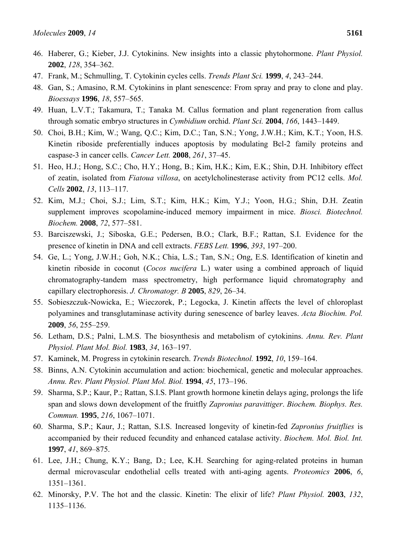- 46. Haberer, G.; Kieber, J.J. Cytokinins. New insights into a classic phytohormone. *Plant Physiol.* **2002**, *128*, 354–362.
- 47. Frank, M.; Schmulling, T. Cytokinin cycles cells. *Trends Plant Sci.* **1999**, *4*, 243–244.
- 48. Gan, S.; Amasino, R.M. Cytokinins in plant senescence: From spray and pray to clone and play. *Bioessays* **1996**, *18*, 557–565.
- 49. Huan, L.V.T.; Takamura, T.; Tanaka M. Callus formation and plant regeneration from callus through somatic embryo structures in *Cymbidium* orchid. *Plant Sci.* **2004**, *166*, 1443–1449.
- 50. Choi, B.H.; Kim, W.; Wang, Q.C.; Kim, D.C.; Tan, S.N.; Yong, J.W.H.; Kim, K.T.; Yoon, H.S. Kinetin riboside preferentially induces apoptosis by modulating Bcl-2 family proteins and caspase-3 in cancer cells. *Cancer Lett.* **2008**, *261*, 37–45.
- 51. Heo, H.J.; Hong, S.C.; Cho, H.Y.; Hong, B.; Kim, H.K.; Kim, E.K.; Shin, D.H. Inhibitory effect of zeatin, isolated from *Fiatoua villosa*, on acetylcholinesterase activity from PC12 cells. *Mol. Cells* **2002**, *13*, 113–117.
- 52. Kim, M.J.; Choi, S.J.; Lim, S.T.; Kim, H.K.; Kim, Y.J.; Yoon, H.G.; Shin, D.H. Zeatin supplement improves scopolamine-induced memory impairment in mice. *Biosci. Biotechnol. Biochem.* **2008**, *72*, 577–581.
- 53. Barciszewski, J.; Siboska, G.E.; Pedersen, B.O.; Clark, B.F.; Rattan, S.I. Evidence for the presence of kinetin in DNA and cell extracts. *FEBS Lett.* **1996**, *393*, 197–200.
- 54. Ge, L.; Yong, J.W.H.; Goh, N.K.; Chia, L.S.; Tan, S.N.; Ong, E.S. Identification of kinetin and kinetin riboside in coconut (*Cocos nucifera* L.) water using a combined approach of liquid chromatography-tandem mass spectrometry, high performance liquid chromatography and capillary electrophoresis. *J. Chromatogr. B* **2005**, *829*, 26–34.
- 55. Sobieszczuk-Nowicka, E.; Wieczorek, P.; Legocka, J. Kinetin affects the level of chloroplast polyamines and transglutaminase activity during senescence of barley leaves. *Acta Biochim. Pol.* **2009**, *56*, 255–259.
- 56. Letham, D.S.; Palni, L.M.S. The biosynthesis and metabolism of cytokinins. *Annu. Rev. Plant Physiol. Plant Mol. Biol.* **1983**, *34*, 163–197.
- 57. Kaminek, M. Progress in cytokinin research. *Trends Biotechnol.* **1992**, *10*, 159–164.
- 58. Binns, A.N. Cytokinin accumulation and action: biochemical, genetic and molecular approaches. *Annu. Rev. Plant Physiol. Plant Mol. Biol.* **1994**, *45*, 173–196.
- 59. Sharma, S.P.; Kaur, P.; Rattan, S.I.S. Plant growth hormone kinetin delays aging, prolongs the life span and slows down development of the fruitfly *Zapronius paravittiger*. *Biochem. Biophys. Res. Commun.* **1995**, *216*, 1067–1071.
- 60. Sharma, S.P.; Kaur, J.; Rattan, S.I.S. Increased longevity of kinetin-fed *Zapronius fruitflies* is accompanied by their reduced fecundity and enhanced catalase activity. *Biochem. Mol. Biol. Int.* **1997**, *41*, 869–875.
- 61. Lee, J.H.; Chung, K.Y.; Bang, D.; Lee, K.H. Searching for aging-related proteins in human dermal microvascular endothelial cells treated with anti-aging agents. *Proteomics* **2006**, *6*, 1351–1361.
- 62. Minorsky, P.V. The hot and the classic. Kinetin: The elixir of life? *Plant Physiol.* **2003**, *132*, 1135–1136.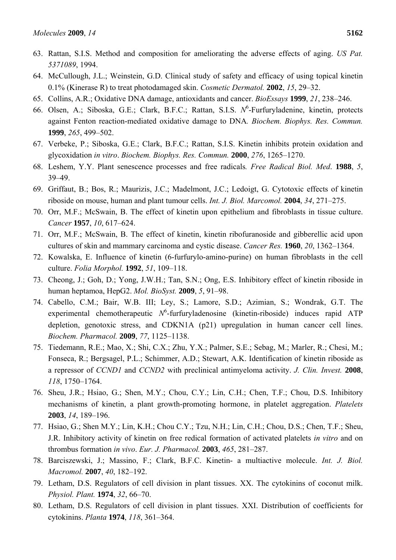- 63. Rattan, S.I.S. Method and composition for ameliorating the adverse effects of aging. *US Pat. 5371089*, 1994.
- 64. McCullough, J.L.; Weinstein, G.D. Clinical study of safety and efficacy of using topical kinetin 0.1% (Kinerase R) to treat photodamaged skin. *Cosmetic Dermatol.* **2002**, *15*, 29–32.
- 65. Collins, A.R.; Oxidative DNA damage, antioxidants and cancer. *BioEssays* **1999**, *21*, 238–246.
- 66. Olsen, A.; Siboska, G.E.; Clark, B.F.C.; Rattan, S.I.S. N<sup>6</sup>-Furfuryladenine, kinetin, protects against Fenton reaction-mediated oxidative damage to DNA*. Biochem. Biophys. Res. Commun.* **1999**, *265*, 499–502.
- 67. Verbeke, P.; Siboska, G.E.; Clark, B.F.C.; Rattan, S.I.S. Kinetin inhibits protein oxidation and glycoxidation *in vitro*. *Biochem. Biophys. Res. Commun.* **2000**, *276*, 1265–1270.
- 68. Leshem, Y.Y. Plant senescence processes and free radicals*. Free Radical Biol. Med*. **1988**, *5*, 39–49.
- 69. Griffaut, B.; Bos, R.; Maurizis, J.C.; Madelmont, J.C.; Ledoigt, G. Cytotoxic effects of kinetin riboside on mouse, human and plant tumour cells. *Int. J. Biol. Marcomol.* **2004**, *34*, 271–275.
- 70. Orr, M.F.; McSwain, B. The effect of kinetin upon epithelium and fibroblasts in tissue culture. *Cancer* **1957**, *10*, 617–624.
- 71. Orr, M.F.; McSwain, B. The effect of kinetin, kinetin ribofuranoside and gibberellic acid upon cultures of skin and mammary carcinoma and cystic disease. *Cancer Res.* **1960**, *20*, 1362–1364.
- 72. Kowalska, E. Influence of kinetin (6-furfurylo-amino-purine) on human fibroblasts in the cell culture. *Folia Morphol.* **1992**, *51*, 109–118.
- 73. Cheong, J.; Goh, D.; Yong, J.W.H.; Tan, S.N.; Ong, E.S. Inhibitory effect of kinetin riboside in human heptamoa, HepG2. *Mol. BioSyst.* **2009**, *5*, 91–98.
- 74. Cabello, C.M.; Bair, W.B. III; Ley, S.; Lamore, S.D.; Azimian, S.; Wondrak, G.T. The experimental chemotherapeutic  $N^6$ -furfuryladenosine (kinetin-riboside) induces rapid ATP depletion, genotoxic stress, and CDKN1A (p21) upregulation in human cancer cell lines. *Biochem. Pharmacol.* **2009**, *77*, 1125–1138.
- 75. Tiedemann, R.E.; Mao, X.; Shi, C.X.; Zhu, Y.X.; Palmer, S.E.; Sebag, M.; Marler, R.; Chesi, M.; Fonseca, R.; Bergsagel, P.L.; Schimmer, A.D.; Stewart, A.K. Identification of kinetin riboside as a repressor of *CCND1* and *CCND2* with preclinical antimyeloma activity. *J. Clin. Invest.* **2008**, *118*, 1750–1764.
- 76. Sheu, J.R.; Hsiao, G.; Shen, M.Y.; Chou, C.Y.; Lin, C.H.; Chen, T.F.; Chou, D.S. Inhibitory mechanisms of kinetin, a plant growth-promoting hormone, in platelet aggregation. *Platelets* **2003**, *14*, 189–196.
- 77. Hsiao, G.; Shen M.Y.; Lin, K.H.; Chou C.Y.; Tzu, N.H.; Lin, C.H.; Chou, D.S.; Chen, T.F.; Sheu, J.R. Inhibitory activity of kinetin on free redical formation of activated platelets *in vitro* and on thrombus formation *in vivo*. *Eur. J. Pharmacol.* **2003**, *465*, 281–287.
- 78. Barciszewski, J.; Massino, F.; Clark, B.F.C. Kinetin- a multiactive molecule. *Int. J. Biol. Macromol.* **2007**, *40*, 182–192.
- 79. Letham, D.S. Regulators of cell division in plant tissues. XX. The cytokinins of coconut milk. *Physiol. Plant.* **1974**, *32*, 66–70.
- 80. Letham, D.S. Regulators of cell division in plant tissues. XXI. Distribution of coefficients for cytokinins. *Planta* **1974**, *118*, 361–364.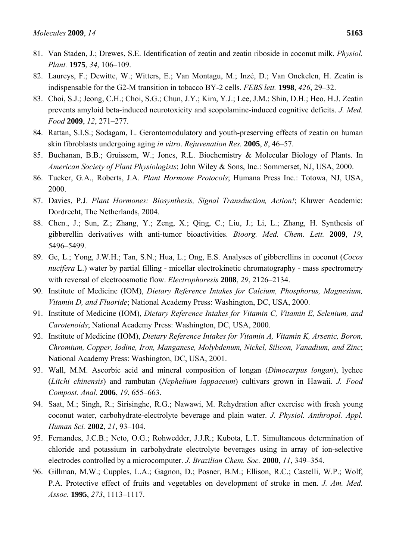- 81. Van Staden, J.; Drewes, S.E. Identification of zeatin and zeatin riboside in coconut milk. *Physiol. Plant.* **1975**, *34*, 106–109.
- 82. Laureys, F.; Dewitte, W.; Witters, E.; Van Montagu, M.; Inzé, D.; Van Onckelen, H. Zeatin is indispensable for the G2-M transition in tobacco BY-2 cells. *FEBS lett.* **1998**, *426*, 29–32.
- 83. Choi, S.J.; Jeong, C.H.; Choi, S.G.; Chun, J.Y.; Kim, Y.J.; Lee, J.M.; Shin, D.H.; Heo, H.J. Zeatin prevents amyloid beta-induced neurotoxicity and scopolamine-induced cognitive deficits. *J. Med. Food* **2009**, *12*, 271–277.
- 84. Rattan, S.I.S.; Sodagam, L. Gerontomodulatory and youth-preserving effects of zeatin on human skin fibroblasts undergoing aging *in vitro*. *Rejuvenation Res.* **2005**, *8*, 46–57.
- 85. Buchanan, B.B.; Gruissem, W.; Jones, R.L. Biochemistry & Molecular Biology of Plants. In *American Society of Plant Physiologists*; John Wiley & Sons, Inc.: Sommerset, NJ, USA, 2000.
- 86. Tucker, G.A., Roberts, J.A. *Plant Hormone Protocols*; Humana Press Inc.: Totowa, NJ, USA, 2000.
- 87. Davies, P.J. *Plant Hormones: Biosynthesis, Signal Transduction, Action!*; Kluwer Academic: Dordrecht, The Netherlands, 2004.
- 88. Chen., J.; Sun, Z.; Zhang, Y.; Zeng, X.; Qing, C.; Liu, J.; Li, L.; Zhang, H. Synthesis of gibberellin derivatives with anti-tumor bioactivities. *Bioorg. Med. Chem. Lett.* **2009**, *19*, 5496–5499.
- 89. Ge, L.; Yong, J.W.H.; Tan, S.N.; Hua, L.; Ong, E.S. Analyses of gibberellins in coconut (*Cocos nucifera* L.) water by partial filling - micellar electrokinetic chromatography - mass spectrometry with reversal of electroosmotic flow. *Electrophoresis* **2008**, *29*, 2126–2134.
- 90. Institute of Medicine (IOM), *Dietary Reference Intakes for Calcium, Phosphorus, Magnesium, Vitamin D, and Fluoride*; National Academy Press: Washington, DC, USA, 2000.
- 91. Institute of Medicine (IOM), *Dietary Reference Intakes for Vitamin C, Vitamin E, Selenium, and Carotenoids*; National Academy Press: Washington, DC, USA, 2000.
- 92. Institute of Medicine (IOM), *Dietary Reference Intakes for Vitamin A, Vitamin K, Arsenic, Boron, Chromium, Copper, Iodine, Iron, Manganese, Molybdenum, Nickel, Silicon, Vanadium, and Zinc*; National Academy Press: Washington, DC, USA, 2001.
- 93. Wall, M.M. Ascorbic acid and mineral composition of longan (*Dimocarpus longan*), lychee (*Litchi chinensis*) and rambutan (*Nephelium lappaceum*) cultivars grown in Hawaii. *J. Food Compost. Anal.* **2006**, *19*, 655–663.
- 94. Saat, M.; Singh, R.; Sirisinghe, R.G.; Nawawi, M. Rehydration after exercise with fresh young coconut water, carbohydrate-electrolyte beverage and plain water. *J. Physiol. Anthropol. Appl. Human Sci.* **2002**, *21*, 93–104.
- 95. Fernandes, J.C.B.; Neto, O.G.; Rohwedder, J.J.R.; Kubota, L.T. Simultaneous determination of chloride and potassium in carbohydrate electrolyte beverages using in array of ion-selective electrodes controlled by a microcomputer. *J. Brazilian Chem. Soc.* **2000**, *11*, 349–354.
- 96. Gillman, M.W.; Cupples, L.A.; Gagnon, D.; Posner, B.M.; Ellison, R.C.; Castelli, W.P.; Wolf, P.A. Protective effect of fruits and vegetables on development of stroke in men. *J. Am. Med. Assoc.* **1995**, *273*, 1113–1117.